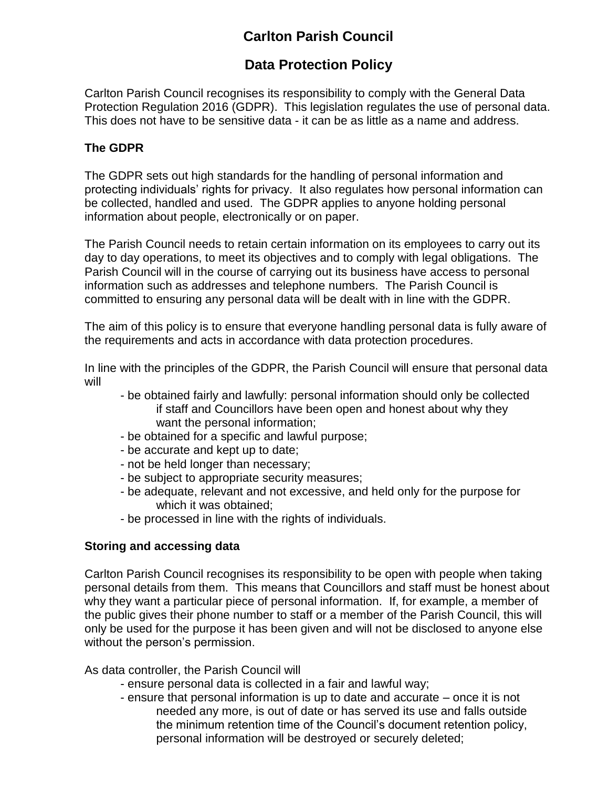# **Carlton Parish Council**

## **Data Protection Policy**

Carlton Parish Council recognises its responsibility to comply with the General Data Protection Regulation 2016 (GDPR). This legislation regulates the use of personal data. This does not have to be sensitive data - it can be as little as a name and address.

### **The GDPR**

The GDPR sets out high standards for the handling of personal information and protecting individuals' rights for privacy. It also regulates how personal information can be collected, handled and used. The GDPR applies to anyone holding personal information about people, electronically or on paper.

The Parish Council needs to retain certain information on its employees to carry out its day to day operations, to meet its objectives and to comply with legal obligations. The Parish Council will in the course of carrying out its business have access to personal information such as addresses and telephone numbers. The Parish Council is committed to ensuring any personal data will be dealt with in line with the GDPR.

The aim of this policy is to ensure that everyone handling personal data is fully aware of the requirements and acts in accordance with data protection procedures.

In line with the principles of the GDPR, the Parish Council will ensure that personal data will

- be obtained fairly and lawfully: personal information should only be collected if staff and Councillors have been open and honest about why they want the personal information;
- be obtained for a specific and lawful purpose;
- be accurate and kept up to date;
- not be held longer than necessary;
- be subject to appropriate security measures;
- be adequate, relevant and not excessive, and held only for the purpose for which it was obtained;
- be processed in line with the rights of individuals.

#### **Storing and accessing data**

Carlton Parish Council recognises its responsibility to be open with people when taking personal details from them. This means that Councillors and staff must be honest about why they want a particular piece of personal information. If, for example, a member of the public gives their phone number to staff or a member of the Parish Council, this will only be used for the purpose it has been given and will not be disclosed to anyone else without the person's permission.

As data controller, the Parish Council will

- ensure personal data is collected in a fair and lawful way;
- ensure that personal information is up to date and accurate once it is not needed any more, is out of date or has served its use and falls outside the minimum retention time of the Council's document retention policy, personal information will be destroyed or securely deleted;